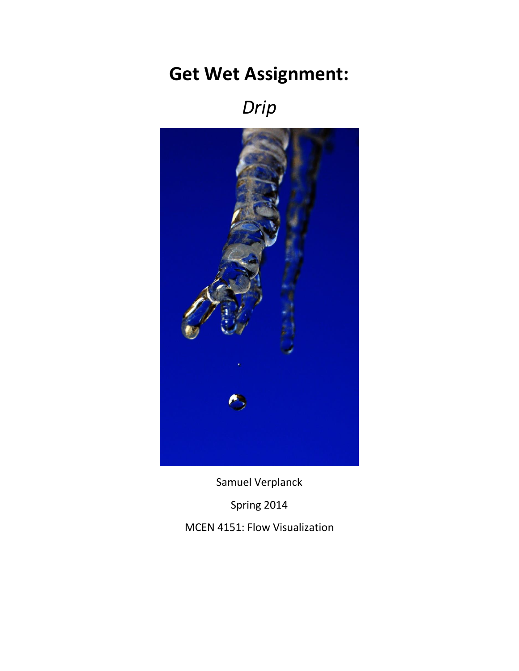## **Get Wet Assignment:**

*Drip*



Samuel Verplanck Spring 2014 MCEN 4151: Flow Visualization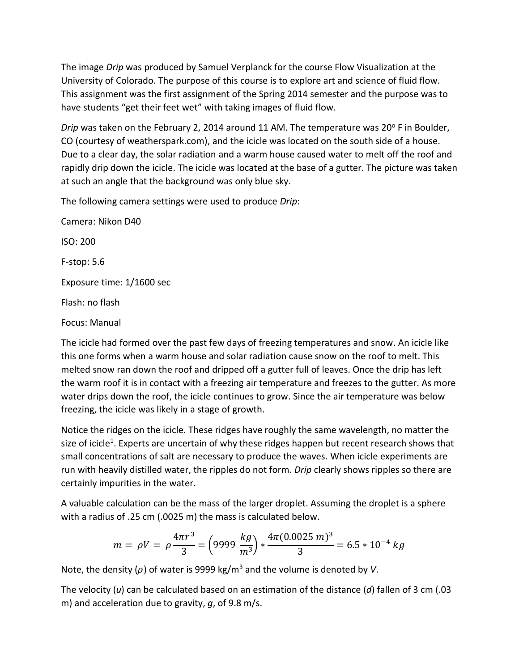The image *Drip* was produced by Samuel Verplanck for the course Flow Visualization at the University of Colorado. The purpose of this course is to explore art and science of fluid flow. This assignment was the first assignment of the Spring 2014 semester and the purpose was to have students "get their feet wet" with taking images of fluid flow.

*Drip* was taken on the February 2, 2014 around 11 AM. The temperature was 20° F in Boulder, CO (courtesy of weatherspark.com), and the icicle was located on the south side of a house. Due to a clear day, the solar radiation and a warm house caused water to melt off the roof and rapidly drip down the icicle. The icicle was located at the base of a gutter. The picture was taken at such an angle that the background was only blue sky.

The following camera settings were used to produce *Drip*:

Camera: Nikon D40 ISO: 200 F-stop: 5.6 Exposure time: 1/1600 sec Flash: no flash Focus: Manual

The icicle had formed over the past few days of freezing temperatures and snow. An icicle like this one forms when a warm house and solar radiation cause snow on the roof to melt. This melted snow ran down the roof and dripped off a gutter full of leaves. Once the drip has left the warm roof it is in contact with a freezing air temperature and freezes to the gutter. As more water drips down the roof, the icicle continues to grow. Since the air temperature was below freezing, the icicle was likely in a stage of growth.

Notice the ridges on the icicle. These ridges have roughly the same wavelength, no matter the size of icicle<sup>1</sup>. Experts are uncertain of why these ridges happen but recent research shows that small concentrations of salt are necessary to produce the waves. When icicle experiments are run with heavily distilled water, the ripples do not form. *Drip* clearly shows ripples so there are certainly impurities in the water.

A valuable calculation can be the mass of the larger droplet. Assuming the droplet is a sphere with a radius of .25 cm (.0025 m) the mass is calculated below.

$$
m = \rho V = \rho \frac{4\pi r^3}{3} = \left(9999 \frac{kg}{m^3}\right) * \frac{4\pi (0.0025 \, m)^3}{3} = 6.5 * 10^{-4} \, kg
$$

Note, the density  $(\rho)$  of water is 9999 kg/m<sup>3</sup> and the volume is denoted by *V*.

The velocity (*u*) can be calculated based on an estimation of the distance (*d*) fallen of 3 cm (.03 m) and acceleration due to gravity, *g*, of 9.8 m/s.